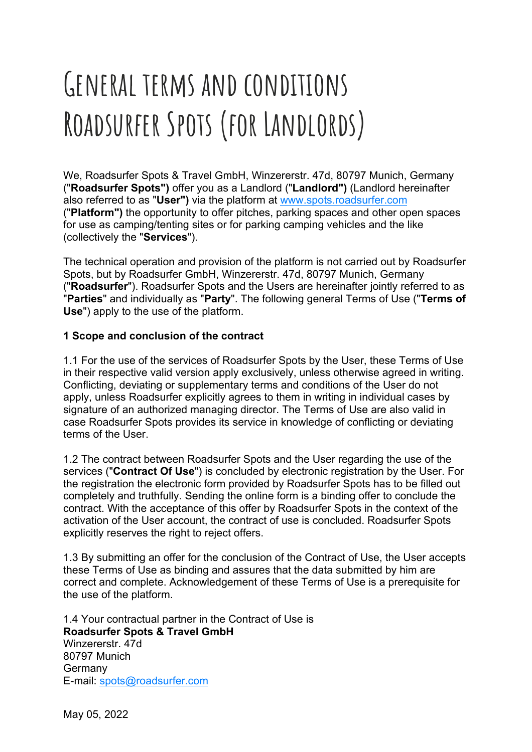# **General terms and conditions Roadsurfer Spots (for Landlords)**

We, Roadsurfer Spots & Travel GmbH, Winzererstr. 47d, 80797 Munich, Germany ("**Roadsurfer Spots")** offer you as a Landlord ("**Landlord")** (Landlord hereinafter also referred to as "**User")** via the platform at www.spots.roadsurfer.com ("**Platform")** the opportunity to offer pitches, parking spaces and other open spaces for use as camping/tenting sites or for parking camping vehicles and the like (collectively the "**Services**").

The technical operation and provision of the platform is not carried out by Roadsurfer Spots, but by Roadsurfer GmbH, Winzererstr. 47d, 80797 Munich, Germany ("**Roadsurfer**"). Roadsurfer Spots and the Users are hereinafter jointly referred to as "**Parties**" and individually as "**Party**". The following general Terms of Use ("**Terms of Use**") apply to the use of the platform.

## **1 Scope and conclusion of the contract**

1.1 For the use of the services of Roadsurfer Spots by the User, these Terms of Use in their respective valid version apply exclusively, unless otherwise agreed in writing. Conflicting, deviating or supplementary terms and conditions of the User do not apply, unless Roadsurfer explicitly agrees to them in writing in individual cases by signature of an authorized managing director. The Terms of Use are also valid in case Roadsurfer Spots provides its service in knowledge of conflicting or deviating terms of the User.

1.2 The contract between Roadsurfer Spots and the User regarding the use of the services ("**Contract Of Use**") is concluded by electronic registration by the User. For the registration the electronic form provided by Roadsurfer Spots has to be filled out completely and truthfully. Sending the online form is a binding offer to conclude the contract. With the acceptance of this offer by Roadsurfer Spots in the context of the activation of the User account, the contract of use is concluded. Roadsurfer Spots explicitly reserves the right to reject offers.

1.3 By submitting an offer for the conclusion of the Contract of Use, the User accepts these Terms of Use as binding and assures that the data submitted by him are correct and complete. Acknowledgement of these Terms of Use is a prerequisite for the use of the platform.

1.4 Your contractual partner in the Contract of Use is **Roadsurfer Spots & Travel GmbH** Winzererstr. 47d 80797 Munich Germany E-mail: spots@roadsurfer.com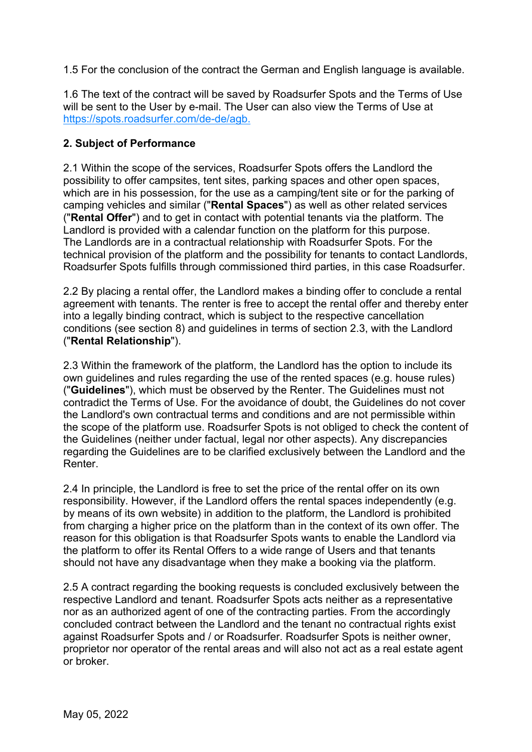1.5 For the conclusion of the contract the German and English language is available.

1.6 The text of the contract will be saved by Roadsurfer Spots and the Terms of Use will be sent to the User by e-mail. The User can also view the Terms of Use at https://spots.roadsurfer.com/de-de/agb.

# **2. Subject of Performance**

2.1 Within the scope of the services, Roadsurfer Spots offers the Landlord the possibility to offer campsites, tent sites, parking spaces and other open spaces, which are in his possession, for the use as a camping/tent site or for the parking of camping vehicles and similar ("**Rental Spaces**") as well as other related services ("**Rental Offer**") and to get in contact with potential tenants via the platform. The Landlord is provided with a calendar function on the platform for this purpose. The Landlords are in a contractual relationship with Roadsurfer Spots. For the technical provision of the platform and the possibility for tenants to contact Landlords, Roadsurfer Spots fulfills through commissioned third parties, in this case Roadsurfer.

2.2 By placing a rental offer, the Landlord makes a binding offer to conclude a rental agreement with tenants. The renter is free to accept the rental offer and thereby enter into a legally binding contract, which is subject to the respective cancellation conditions (see section 8) and guidelines in terms of section 2.3, with the Landlord ("**Rental Relationship**").

2.3 Within the framework of the platform, the Landlord has the option to include its own guidelines and rules regarding the use of the rented spaces (e.g. house rules) ("**Guidelines**"), which must be observed by the Renter. The Guidelines must not contradict the Terms of Use. For the avoidance of doubt, the Guidelines do not cover the Landlord's own contractual terms and conditions and are not permissible within the scope of the platform use. Roadsurfer Spots is not obliged to check the content of the Guidelines (neither under factual, legal nor other aspects). Any discrepancies regarding the Guidelines are to be clarified exclusively between the Landlord and the Renter.

2.4 In principle, the Landlord is free to set the price of the rental offer on its own responsibility. However, if the Landlord offers the rental spaces independently (e.g. by means of its own website) in addition to the platform, the Landlord is prohibited from charging a higher price on the platform than in the context of its own offer. The reason for this obligation is that Roadsurfer Spots wants to enable the Landlord via the platform to offer its Rental Offers to a wide range of Users and that tenants should not have any disadvantage when they make a booking via the platform.

2.5 A contract regarding the booking requests is concluded exclusively between the respective Landlord and tenant. Roadsurfer Spots acts neither as a representative nor as an authorized agent of one of the contracting parties. From the accordingly concluded contract between the Landlord and the tenant no contractual rights exist against Roadsurfer Spots and / or Roadsurfer. Roadsurfer Spots is neither owner, proprietor nor operator of the rental areas and will also not act as a real estate agent or broker.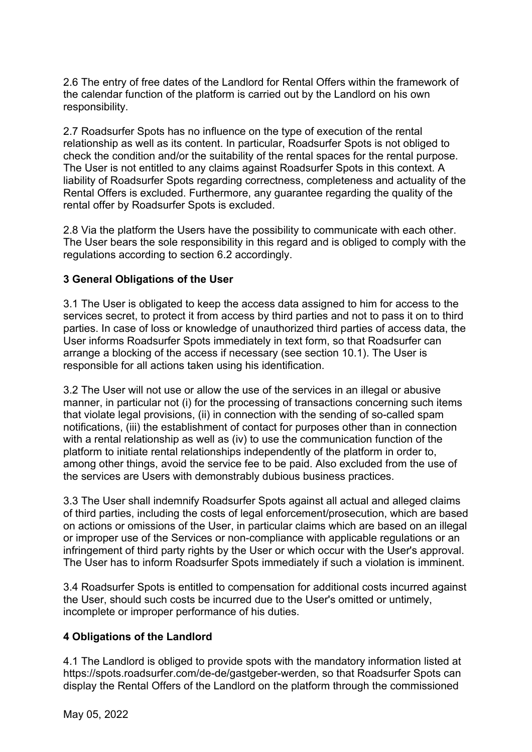2.6 The entry of free dates of the Landlord for Rental Offers within the framework of the calendar function of the platform is carried out by the Landlord on his own responsibility.

2.7 Roadsurfer Spots has no influence on the type of execution of the rental relationship as well as its content. In particular, Roadsurfer Spots is not obliged to check the condition and/or the suitability of the rental spaces for the rental purpose. The User is not entitled to any claims against Roadsurfer Spots in this context. A liability of Roadsurfer Spots regarding correctness, completeness and actuality of the Rental Offers is excluded. Furthermore, any guarantee regarding the quality of the rental offer by Roadsurfer Spots is excluded.

2.8 Via the platform the Users have the possibility to communicate with each other. The User bears the sole responsibility in this regard and is obliged to comply with the regulations according to section 6.2 accordingly.

## **3 General Obligations of the User**

3.1 The User is obligated to keep the access data assigned to him for access to the services secret, to protect it from access by third parties and not to pass it on to third parties. In case of loss or knowledge of unauthorized third parties of access data, the User informs Roadsurfer Spots immediately in text form, so that Roadsurfer can arrange a blocking of the access if necessary (see section 10.1). The User is responsible for all actions taken using his identification.

3.2 The User will not use or allow the use of the services in an illegal or abusive manner, in particular not (i) for the processing of transactions concerning such items that violate legal provisions, (ii) in connection with the sending of so-called spam notifications, (iii) the establishment of contact for purposes other than in connection with a rental relationship as well as (iv) to use the communication function of the platform to initiate rental relationships independently of the platform in order to, among other things, avoid the service fee to be paid. Also excluded from the use of the services are Users with demonstrably dubious business practices.

3.3 The User shall indemnify Roadsurfer Spots against all actual and alleged claims of third parties, including the costs of legal enforcement/prosecution, which are based on actions or omissions of the User, in particular claims which are based on an illegal or improper use of the Services or non-compliance with applicable regulations or an infringement of third party rights by the User or which occur with the User's approval. The User has to inform Roadsurfer Spots immediately if such a violation is imminent.

3.4 Roadsurfer Spots is entitled to compensation for additional costs incurred against the User, should such costs be incurred due to the User's omitted or untimely, incomplete or improper performance of his duties.

## **4 Obligations of the Landlord**

4.1 The Landlord is obliged to provide spots with the mandatory information listed at https://spots.roadsurfer.com/de-de/gastgeber-werden, so that Roadsurfer Spots can display the Rental Offers of the Landlord on the platform through the commissioned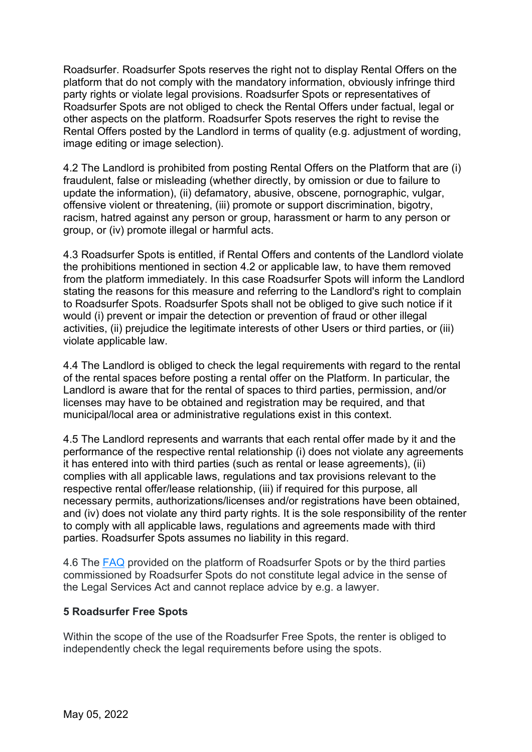Roadsurfer. Roadsurfer Spots reserves the right not to display Rental Offers on the platform that do not comply with the mandatory information, obviously infringe third party rights or violate legal provisions. Roadsurfer Spots or representatives of Roadsurfer Spots are not obliged to check the Rental Offers under factual, legal or other aspects on the platform. Roadsurfer Spots reserves the right to revise the Rental Offers posted by the Landlord in terms of quality (e.g. adjustment of wording, image editing or image selection).

4.2 The Landlord is prohibited from posting Rental Offers on the Platform that are (i) fraudulent, false or misleading (whether directly, by omission or due to failure to update the information), (ii) defamatory, abusive, obscene, pornographic, vulgar, offensive violent or threatening, (iii) promote or support discrimination, bigotry, racism, hatred against any person or group, harassment or harm to any person or group, or (iv) promote illegal or harmful acts.

4.3 Roadsurfer Spots is entitled, if Rental Offers and contents of the Landlord violate the prohibitions mentioned in section 4.2 or applicable law, to have them removed from the platform immediately. In this case Roadsurfer Spots will inform the Landlord stating the reasons for this measure and referring to the Landlord's right to complain to Roadsurfer Spots. Roadsurfer Spots shall not be obliged to give such notice if it would (i) prevent or impair the detection or prevention of fraud or other illegal activities, (ii) prejudice the legitimate interests of other Users or third parties, or (iii) violate applicable law.

4.4 The Landlord is obliged to check the legal requirements with regard to the rental of the rental spaces before posting a rental offer on the Platform. In particular, the Landlord is aware that for the rental of spaces to third parties, permission, and/or licenses may have to be obtained and registration may be required, and that municipal/local area or administrative regulations exist in this context.

4.5 The Landlord represents and warrants that each rental offer made by it and the performance of the respective rental relationship (i) does not violate any agreements it has entered into with third parties (such as rental or lease agreements), (ii) complies with all applicable laws, regulations and tax provisions relevant to the respective rental offer/lease relationship, (iii) if required for this purpose, all necessary permits, authorizations/licenses and/or registrations have been obtained, and (iv) does not violate any third party rights. It is the sole responsibility of the renter to comply with all applicable laws, regulations and agreements made with third parties. Roadsurfer Spots assumes no liability in this regard.

4.6 The FAQ provided on the platform of Roadsurfer Spots or by the third parties commissioned by Roadsurfer Spots do not constitute legal advice in the sense of the Legal Services Act and cannot replace advice by e.g. a lawyer.

# **5 Roadsurfer Free Spots**

Within the scope of the use of the Roadsurfer Free Spots, the renter is obliged to independently check the legal requirements before using the spots.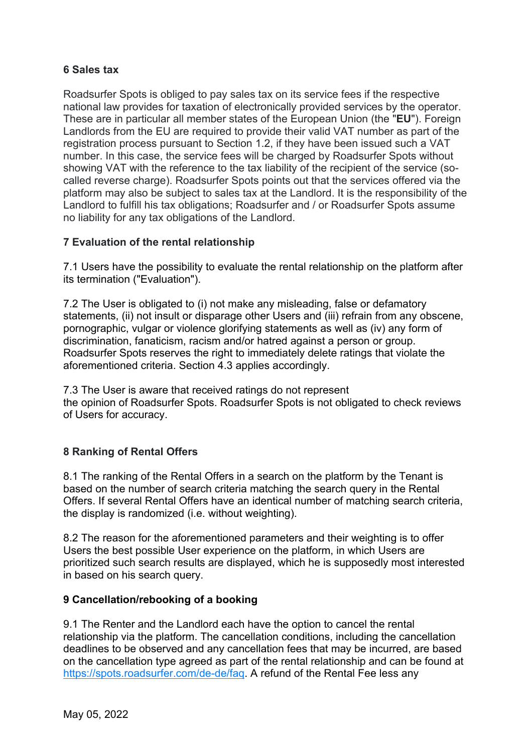## **6 Sales tax**

Roadsurfer Spots is obliged to pay sales tax on its service fees if the respective national law provides for taxation of electronically provided services by the operator. These are in particular all member states of the European Union (the "**EU**"). Foreign Landlords from the EU are required to provide their valid VAT number as part of the registration process pursuant to Section 1.2, if they have been issued such a VAT number. In this case, the service fees will be charged by Roadsurfer Spots without showing VAT with the reference to the tax liability of the recipient of the service (socalled reverse charge). Roadsurfer Spots points out that the services offered via the platform may also be subject to sales tax at the Landlord. It is the responsibility of the Landlord to fulfill his tax obligations; Roadsurfer and / or Roadsurfer Spots assume no liability for any tax obligations of the Landlord.

## **7 Evaluation of the rental relationship**

7.1 Users have the possibility to evaluate the rental relationship on the platform after its termination ("Evaluation").

7.2 The User is obligated to (i) not make any misleading, false or defamatory statements, (ii) not insult or disparage other Users and (iii) refrain from any obscene, pornographic, vulgar or violence glorifying statements as well as (iv) any form of discrimination, fanaticism, racism and/or hatred against a person or group. Roadsurfer Spots reserves the right to immediately delete ratings that violate the aforementioned criteria. Section 4.3 applies accordingly.

7.3 The User is aware that received ratings do not represent the opinion of Roadsurfer Spots. Roadsurfer Spots is not obligated to check reviews of Users for accuracy.

# **8 Ranking of Rental Offers**

8.1 The ranking of the Rental Offers in a search on the platform by the Tenant is based on the number of search criteria matching the search query in the Rental Offers. If several Rental Offers have an identical number of matching search criteria, the display is randomized (i.e. without weighting).

8.2 The reason for the aforementioned parameters and their weighting is to offer Users the best possible User experience on the platform, in which Users are prioritized such search results are displayed, which he is supposedly most interested in based on his search query.

## **9 Cancellation/rebooking of a booking**

9.1 The Renter and the Landlord each have the option to cancel the rental relationship via the platform. The cancellation conditions, including the cancellation deadlines to be observed and any cancellation fees that may be incurred, are based on the cancellation type agreed as part of the rental relationship and can be found at https://spots.roadsurfer.com/de-de/faq. A refund of the Rental Fee less any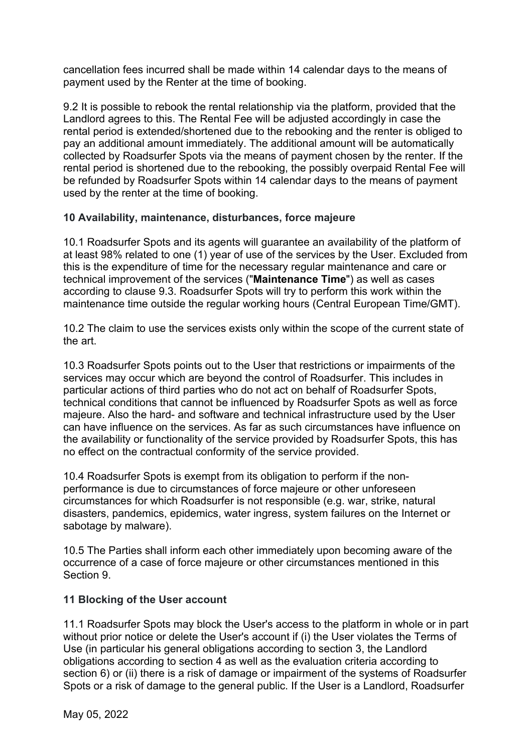cancellation fees incurred shall be made within 14 calendar days to the means of payment used by the Renter at the time of booking.

9.2 It is possible to rebook the rental relationship via the platform, provided that the Landlord agrees to this. The Rental Fee will be adjusted accordingly in case the rental period is extended/shortened due to the rebooking and the renter is obliged to pay an additional amount immediately. The additional amount will be automatically collected by Roadsurfer Spots via the means of payment chosen by the renter. If the rental period is shortened due to the rebooking, the possibly overpaid Rental Fee will be refunded by Roadsurfer Spots within 14 calendar days to the means of payment used by the renter at the time of booking.

## **10 Availability, maintenance, disturbances, force majeure**

10.1 Roadsurfer Spots and its agents will guarantee an availability of the platform of at least 98% related to one (1) year of use of the services by the User. Excluded from this is the expenditure of time for the necessary regular maintenance and care or technical improvement of the services ("**Maintenance Time**") as well as cases according to clause 9.3. Roadsurfer Spots will try to perform this work within the maintenance time outside the regular working hours (Central European Time/GMT).

10.2 The claim to use the services exists only within the scope of the current state of the art.

10.3 Roadsurfer Spots points out to the User that restrictions or impairments of the services may occur which are beyond the control of Roadsurfer. This includes in particular actions of third parties who do not act on behalf of Roadsurfer Spots, technical conditions that cannot be influenced by Roadsurfer Spots as well as force majeure. Also the hard- and software and technical infrastructure used by the User can have influence on the services. As far as such circumstances have influence on the availability or functionality of the service provided by Roadsurfer Spots, this has no effect on the contractual conformity of the service provided.

10.4 Roadsurfer Spots is exempt from its obligation to perform if the nonperformance is due to circumstances of force majeure or other unforeseen circumstances for which Roadsurfer is not responsible (e.g. war, strike, natural disasters, pandemics, epidemics, water ingress, system failures on the Internet or sabotage by malware).

10.5 The Parties shall inform each other immediately upon becoming aware of the occurrence of a case of force majeure or other circumstances mentioned in this Section 9.

## **11 Blocking of the User account**

11.1 Roadsurfer Spots may block the User's access to the platform in whole or in part without prior notice or delete the User's account if (i) the User violates the Terms of Use (in particular his general obligations according to section 3, the Landlord obligations according to section 4 as well as the evaluation criteria according to section 6) or (ii) there is a risk of damage or impairment of the systems of Roadsurfer Spots or a risk of damage to the general public. If the User is a Landlord, Roadsurfer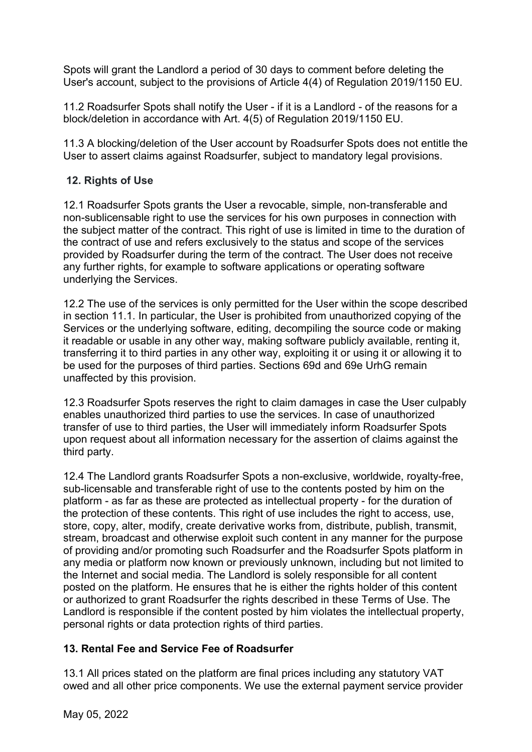Spots will grant the Landlord a period of 30 days to comment before deleting the User's account, subject to the provisions of Article 4(4) of Regulation 2019/1150 EU.

11.2 Roadsurfer Spots shall notify the User - if it is a Landlord - of the reasons for a block/deletion in accordance with Art. 4(5) of Regulation 2019/1150 EU.

11.3 A blocking/deletion of the User account by Roadsurfer Spots does not entitle the User to assert claims against Roadsurfer, subject to mandatory legal provisions.

# **12. Rights of Use**

12.1 Roadsurfer Spots grants the User a revocable, simple, non-transferable and non-sublicensable right to use the services for his own purposes in connection with the subject matter of the contract. This right of use is limited in time to the duration of the contract of use and refers exclusively to the status and scope of the services provided by Roadsurfer during the term of the contract. The User does not receive any further rights, for example to software applications or operating software underlying the Services.

12.2 The use of the services is only permitted for the User within the scope described in section 11.1. In particular, the User is prohibited from unauthorized copying of the Services or the underlying software, editing, decompiling the source code or making it readable or usable in any other way, making software publicly available, renting it, transferring it to third parties in any other way, exploiting it or using it or allowing it to be used for the purposes of third parties. Sections 69d and 69e UrhG remain unaffected by this provision.

12.3 Roadsurfer Spots reserves the right to claim damages in case the User culpably enables unauthorized third parties to use the services. In case of unauthorized transfer of use to third parties, the User will immediately inform Roadsurfer Spots upon request about all information necessary for the assertion of claims against the third party.

12.4 The Landlord grants Roadsurfer Spots a non-exclusive, worldwide, royalty-free, sub-licensable and transferable right of use to the contents posted by him on the platform - as far as these are protected as intellectual property - for the duration of the protection of these contents. This right of use includes the right to access, use, store, copy, alter, modify, create derivative works from, distribute, publish, transmit, stream, broadcast and otherwise exploit such content in any manner for the purpose of providing and/or promoting such Roadsurfer and the Roadsurfer Spots platform in any media or platform now known or previously unknown, including but not limited to the Internet and social media. The Landlord is solely responsible for all content posted on the platform. He ensures that he is either the rights holder of this content or authorized to grant Roadsurfer the rights described in these Terms of Use. The Landlord is responsible if the content posted by him violates the intellectual property, personal rights or data protection rights of third parties.

# **13. Rental Fee and Service Fee of Roadsurfer**

13.1 All prices stated on the platform are final prices including any statutory VAT owed and all other price components. We use the external payment service provider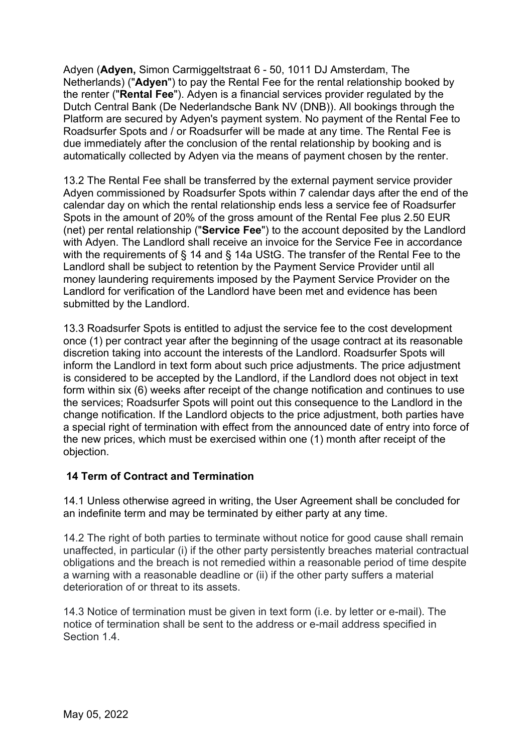Adyen (**Adyen,** Simon Carmiggeltstraat 6 - 50, 1011 DJ Amsterdam, The Netherlands) ("**Adyen**") to pay the Rental Fee for the rental relationship booked by the renter ("**Rental Fee**"). Adyen is a financial services provider regulated by the Dutch Central Bank (De Nederlandsche Bank NV (DNB)). All bookings through the Platform are secured by Adyen's payment system. No payment of the Rental Fee to Roadsurfer Spots and / or Roadsurfer will be made at any time. The Rental Fee is due immediately after the conclusion of the rental relationship by booking and is automatically collected by Adyen via the means of payment chosen by the renter.

13.2 The Rental Fee shall be transferred by the external payment service provider Adyen commissioned by Roadsurfer Spots within 7 calendar days after the end of the calendar day on which the rental relationship ends less a service fee of Roadsurfer Spots in the amount of 20% of the gross amount of the Rental Fee plus 2.50 EUR (net) per rental relationship ("**Service Fee**") to the account deposited by the Landlord with Adyen. The Landlord shall receive an invoice for the Service Fee in accordance with the requirements of § 14 and § 14a UStG. The transfer of the Rental Fee to the Landlord shall be subject to retention by the Payment Service Provider until all money laundering requirements imposed by the Payment Service Provider on the Landlord for verification of the Landlord have been met and evidence has been submitted by the Landlord.

13.3 Roadsurfer Spots is entitled to adjust the service fee to the cost development once (1) per contract year after the beginning of the usage contract at its reasonable discretion taking into account the interests of the Landlord. Roadsurfer Spots will inform the Landlord in text form about such price adjustments. The price adjustment is considered to be accepted by the Landlord, if the Landlord does not object in text form within six (6) weeks after receipt of the change notification and continues to use the services; Roadsurfer Spots will point out this consequence to the Landlord in the change notification. If the Landlord objects to the price adjustment, both parties have a special right of termination with effect from the announced date of entry into force of the new prices, which must be exercised within one (1) month after receipt of the objection.

# **14 Term of Contract and Termination**

14.1 Unless otherwise agreed in writing, the User Agreement shall be concluded for an indefinite term and may be terminated by either party at any time.

14.2 The right of both parties to terminate without notice for good cause shall remain unaffected, in particular (i) if the other party persistently breaches material contractual obligations and the breach is not remedied within a reasonable period of time despite a warning with a reasonable deadline or (ii) if the other party suffers a material deterioration of or threat to its assets.

14.3 Notice of termination must be given in text form (i.e. by letter or e-mail). The notice of termination shall be sent to the address or e-mail address specified in Section 1.4.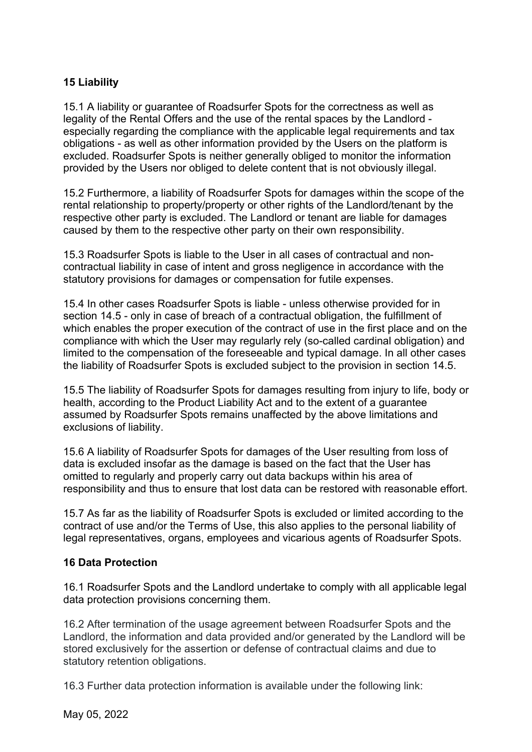# **15 Liability**

15.1 A liability or guarantee of Roadsurfer Spots for the correctness as well as legality of the Rental Offers and the use of the rental spaces by the Landlord especially regarding the compliance with the applicable legal requirements and tax obligations - as well as other information provided by the Users on the platform is excluded. Roadsurfer Spots is neither generally obliged to monitor the information provided by the Users nor obliged to delete content that is not obviously illegal.

15.2 Furthermore, a liability of Roadsurfer Spots for damages within the scope of the rental relationship to property/property or other rights of the Landlord/tenant by the respective other party is excluded. The Landlord or tenant are liable for damages caused by them to the respective other party on their own responsibility.

15.3 Roadsurfer Spots is liable to the User in all cases of contractual and noncontractual liability in case of intent and gross negligence in accordance with the statutory provisions for damages or compensation for futile expenses.

15.4 In other cases Roadsurfer Spots is liable - unless otherwise provided for in section 14.5 - only in case of breach of a contractual obligation, the fulfillment of which enables the proper execution of the contract of use in the first place and on the compliance with which the User may regularly rely (so-called cardinal obligation) and limited to the compensation of the foreseeable and typical damage. In all other cases the liability of Roadsurfer Spots is excluded subject to the provision in section 14.5.

15.5 The liability of Roadsurfer Spots for damages resulting from injury to life, body or health, according to the Product Liability Act and to the extent of a guarantee assumed by Roadsurfer Spots remains unaffected by the above limitations and exclusions of liability.

15.6 A liability of Roadsurfer Spots for damages of the User resulting from loss of data is excluded insofar as the damage is based on the fact that the User has omitted to regularly and properly carry out data backups within his area of responsibility and thus to ensure that lost data can be restored with reasonable effort.

15.7 As far as the liability of Roadsurfer Spots is excluded or limited according to the contract of use and/or the Terms of Use, this also applies to the personal liability of legal representatives, organs, employees and vicarious agents of Roadsurfer Spots.

## **16 Data Protection**

16.1 Roadsurfer Spots and the Landlord undertake to comply with all applicable legal data protection provisions concerning them.

16.2 After termination of the usage agreement between Roadsurfer Spots and the Landlord, the information and data provided and/or generated by the Landlord will be stored exclusively for the assertion or defense of contractual claims and due to statutory retention obligations.

16.3 Further data protection information is available under the following link: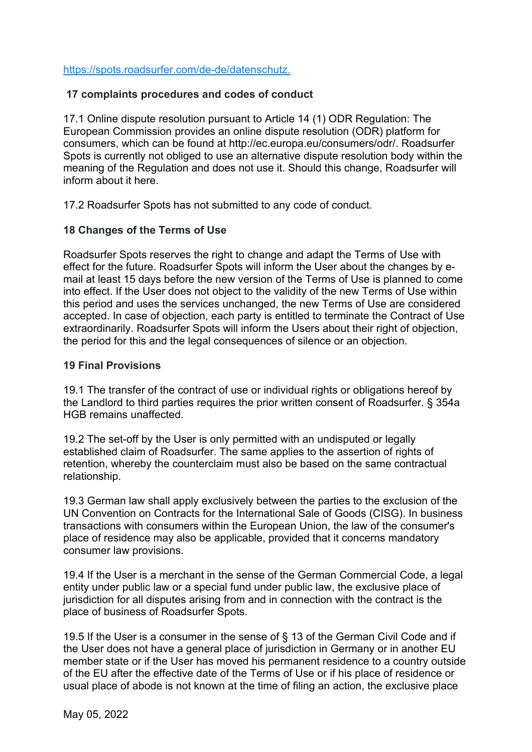## https://spots.roadsurfer.com/de-de/datenschutz.

## **17 complaints procedures and codes of conduct**

17.1 Online dispute resolution pursuant to Article 14 (1) ODR Regulation: The European Commission provides an online dispute resolution (ODR) platform for consumers, which can be found at http://ec.europa.eu/consumers/odr/. Roadsurfer Spots is currently not obliged to use an alternative dispute resolution body within the meaning of the Regulation and does not use it. Should this change, Roadsurfer will inform about it here.

17.2 Roadsurfer Spots has not submitted to any code of conduct.

## **18 Changes of the Terms of Use**

Roadsurfer Spots reserves the right to change and adapt the Terms of Use with effect for the future. Roadsurfer Spots will inform the User about the changes by email at least 15 days before the new version of the Terms of Use is planned to come into effect. If the User does not object to the validity of the new Terms of Use within this period and uses the services unchanged, the new Terms of Use are considered accepted. In case of objection, each party is entitled to terminate the Contract of Use extraordinarily. Roadsurfer Spots will inform the Users about their right of objection, the period for this and the legal consequences of silence or an objection.

## **19 Final Provisions**

19.1 The transfer of the contract of use or individual rights or obligations hereof by the Landlord to third parties requires the prior written consent of Roadsurfer. § 354a HGB remains unaffected.

19.2 The set-off by the User is only permitted with an undisputed or legally established claim of Roadsurfer. The same applies to the assertion of rights of retention, whereby the counterclaim must also be based on the same contractual relationship.

19.3 German law shall apply exclusively between the parties to the exclusion of the UN Convention on Contracts for the International Sale of Goods (CISG). In business transactions with consumers within the European Union, the law of the consumer's place of residence may also be applicable, provided that it concerns mandatory consumer law provisions.

19.4 If the User is a merchant in the sense of the German Commercial Code, a legal entity under public law or a special fund under public law, the exclusive place of jurisdiction for all disputes arising from and in connection with the contract is the place of business of Roadsurfer Spots.

19.5 If the User is a consumer in the sense of § 13 of the German Civil Code and if the User does not have a general place of jurisdiction in Germany or in another EU member state or if the User has moved his permanent residence to a country outside of the EU after the effective date of the Terms of Use or if his place of residence or usual place of abode is not known at the time of filing an action, the exclusive place